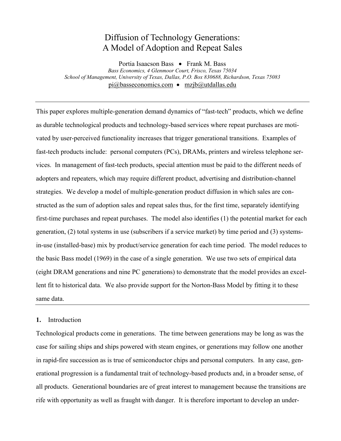# Diffusion of Technology Generations: A Model of Adoption and Repeat Sales

Portia Isaacson Bass • Frank M. Bass

*Bass Economics, 4 Glenmoor Court, Frisco, Texas 75034 School of Management, University of Texas, Dallas, P.O. Box 830688, Richardson, Texas 75083* pi@basseconomics.com • mzjb@utdallas.edu

This paper explores multiple-generation demand dynamics of "fast-tech" products, which we define as durable technological products and technology-based services where repeat purchases are motivated by user-perceived functionality increases that trigger generational transitions. Examples of fast-tech products include: personal computers (PCs), DRAMs, printers and wireless telephone services. In management of fast-tech products, special attention must be paid to the different needs of adopters and repeaters, which may require different product, advertising and distribution-channel strategies. We develop a model of multiple-generation product diffusion in which sales are constructed as the sum of adoption sales and repeat sales thus, for the first time, separately identifying first-time purchases and repeat purchases. The model also identifies (1) the potential market for each generation, (2) total systems in use (subscribers if a service market) by time period and (3) systemsin-use (installed-base) mix by product/service generation for each time period. The model reduces to the basic Bass model (1969) in the case of a single generation. We use two sets of empirical data (eight DRAM generations and nine PC generations) to demonstrate that the model provides an excellent fit to historical data. We also provide support for the Norton-Bass Model by fitting it to these same data.

### **1.** Introduction

Technological products come in generations. The time between generations may be long as was the case for sailing ships and ships powered with steam engines, or generations may follow one another in rapid-fire succession as is true of semiconductor chips and personal computers. In any case, generational progression is a fundamental trait of technology-based products and, in a broader sense, of all products. Generational boundaries are of great interest to management because the transitions are rife with opportunity as well as fraught with danger. It is therefore important to develop an under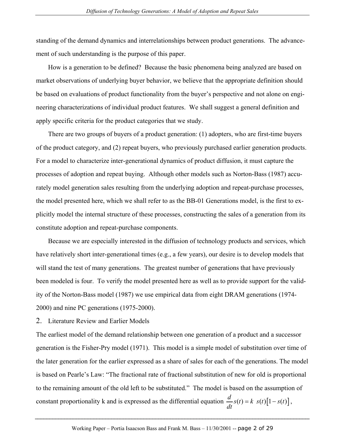standing of the demand dynamics and interrelationships between product generations. The advancement of such understanding is the purpose of this paper.

How is a generation to be defined? Because the basic phenomena being analyzed are based on market observations of underlying buyer behavior, we believe that the appropriate definition should be based on evaluations of product functionality from the buyer's perspective and not alone on engineering characterizations of individual product features. We shall suggest a general definition and apply specific criteria for the product categories that we study.

There are two groups of buyers of a product generation: (1) adopters, who are first-time buyers of the product category, and (2) repeat buyers, who previously purchased earlier generation products. For a model to characterize inter-generational dynamics of product diffusion, it must capture the processes of adoption and repeat buying. Although other models such as Norton-Bass (1987) accurately model generation sales resulting from the underlying adoption and repeat-purchase processes, the model presented here, which we shall refer to as the BB-01 Generations model, is the first to explicitly model the internal structure of these processes, constructing the sales of a generation from its constitute adoption and repeat-purchase components.

Because we are especially interested in the diffusion of technology products and services, which have relatively short inter-generational times (e.g., a few years), our desire is to develop models that will stand the test of many generations. The greatest number of generations that have previously been modeled is four. To verify the model presented here as well as to provide support for the validity of the Norton-Bass model (1987) we use empirical data from eight DRAM generations (1974- 2000) and nine PC generations (1975-2000).

2. Literature Review and Earlier Models

The earliest model of the demand relationship between one generation of a product and a successor generation is the Fisher-Pry model (1971). This model is a simple model of substitution over time of the later generation for the earlier expressed as a share of sales for each of the generations. The model is based on Pearle's Law: "The fractional rate of fractional substitution of new for old is proportional to the remaining amount of the old left to be substituted." The model is based on the assumption of constant proportionality k and is expressed as the differential equation  $\frac{d}{dt} s(t) = k \ s(t) [1 - s(t)]$ ,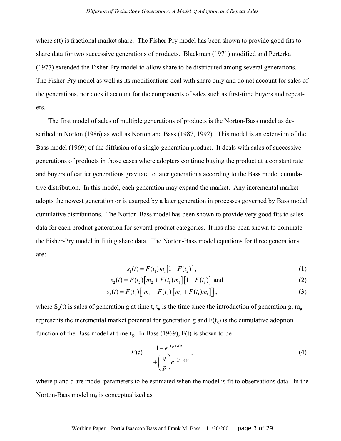where s(t) is fractional market share. The Fisher-Pry model has been shown to provide good fits to share data for two successive generations of products. Blackman (1971) modified and Perterka (1977) extended the Fisher-Pry model to allow share to be distributed among several generations. The Fisher-Pry model as well as its modifications deal with share only and do not account for sales of the generations, nor does it account for the components of sales such as first-time buyers and repeaters.

The first model of sales of multiple generations of products is the Norton-Bass model as described in Norton (1986) as well as Norton and Bass (1987, 1992). This model is an extension of the Bass model (1969) of the diffusion of a single-generation product. It deals with sales of successive generations of products in those cases where adopters continue buying the product at a constant rate and buyers of earlier generations gravitate to later generations according to the Bass model cumulative distribution. In this model, each generation may expand the market. Any incremental market adopts the newest generation or is usurped by a later generation in processes governed by Bass model cumulative distributions. The Norton-Bass model has been shown to provide very good fits to sales data for each product generation for several product categories. It has also been shown to dominate the Fisher-Pry model in fitting share data. The Norton-Bass model equations for three generations are:

$$
s_1(t) = F(t_1) m_1 [1 - F(t_2)], \qquad (1)
$$

$$
s_2(t) = F(t_2) [m_2 + F(t_1) m_1] [1 - F(t_3)] \text{ and}
$$
 (2)

$$
s_3(t) = F(t_3) \Big[ m_3 + F(t_2) \Big[ m_2 + F(t_1) m_1 \Big] \Big],
$$
 (3)

where  $S_g(t)$  is sales of generation g at time t,  $t_g$  is the time since the introduction of generation g, m<sub>g</sub> represents the incremental market potential for generation g and  $F(t_g)$  is the cumulative adoption function of the Bass model at time  $t_g$ . In Bass (1969),  $F(t)$  is shown to be

$$
F(t) = \frac{1 - e^{-(p+q)t}}{1 + \left(\frac{q}{p}\right) e^{-(p+q)t}},
$$
\n(4)

where p and q are model parameters to be estimated when the model is fit to observations data. In the Norton-Bass model  $m_g$  is conceptualized as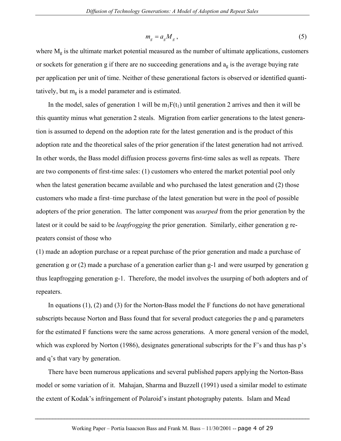$$
m_g = a_g M_g \,,\tag{5}
$$

where  $M_g$  is the ultimate market potential measured as the number of ultimate applications, customers or sockets for generation g if there are no succeeding generations and  $a<sub>g</sub>$  is the average buying rate per application per unit of time. Neither of these generational factors is observed or identified quantitatively, but  $m<sub>g</sub>$  is a model parameter and is estimated.

In the model, sales of generation 1 will be  $m_1F(t_1)$  until generation 2 arrives and then it will be this quantity minus what generation 2 steals. Migration from earlier generations to the latest generation is assumed to depend on the adoption rate for the latest generation and is the product of this adoption rate and the theoretical sales of the prior generation if the latest generation had not arrived. In other words, the Bass model diffusion process governs first-time sales as well as repeats. There are two components of first-time sales: (1) customers who entered the market potential pool only when the latest generation became available and who purchased the latest generation and (2) those customers who made a first–time purchase of the latest generation but were in the pool of possible adopters of the prior generation. The latter component was *usurped* from the prior generation by the latest or it could be said to be *leapfrogging* the prior generation. Similarly, either generation g repeaters consist of those who

(1) made an adoption purchase or a repeat purchase of the prior generation and made a purchase of generation g or (2) made a purchase of a generation earlier than g-1 and were usurped by generation g thus leapfrogging generation g-1. Therefore, the model involves the usurping of both adopters and of repeaters.

In equations (1), (2) and (3) for the Norton-Bass model the F functions do not have generational subscripts because Norton and Bass found that for several product categories the p and q parameters for the estimated F functions were the same across generations. A more general version of the model, which was explored by Norton (1986), designates generational subscripts for the F's and thus has p's and q's that vary by generation.

There have been numerous applications and several published papers applying the Norton-Bass model or some variation of it. Mahajan, Sharma and Buzzell (1991) used a similar model to estimate the extent of Kodak's infringement of Polaroid's instant photography patents. Islam and Mead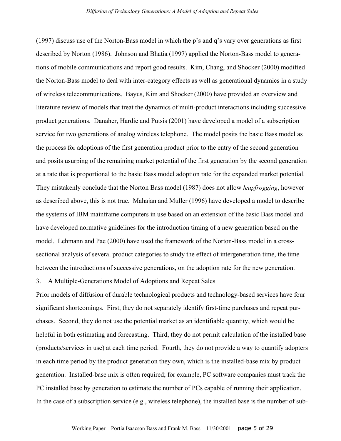(1997) discuss use of the Norton-Bass model in which the p's and q's vary over generations as first described by Norton (1986). Johnson and Bhatia (1997) applied the Norton-Bass model to generations of mobile communications and report good results. Kim, Chang, and Shocker (2000) modified the Norton-Bass model to deal with inter-category effects as well as generational dynamics in a study of wireless telecommunications. Bayus, Kim and Shocker (2000) have provided an overview and literature review of models that treat the dynamics of multi-product interactions including successive product generations. Danaher, Hardie and Putsis (2001) have developed a model of a subscription service for two generations of analog wireless telephone. The model posits the basic Bass model as the process for adoptions of the first generation product prior to the entry of the second generation and posits usurping of the remaining market potential of the first generation by the second generation at a rate that is proportional to the basic Bass model adoption rate for the expanded market potential. They mistakenly conclude that the Norton Bass model (1987) does not allow *leapfrogging*, however as described above, this is not true. Mahajan and Muller (1996) have developed a model to describe the systems of IBM mainframe computers in use based on an extension of the basic Bass model and have developed normative guidelines for the introduction timing of a new generation based on the model. Lehmann and Pae (2000) have used the framework of the Norton-Bass model in a crosssectional analysis of several product categories to study the effect of intergeneration time, the time between the introductions of successive generations, on the adoption rate for the new generation.

# 3. A Multiple-Generations Model of Adoptions and Repeat Sales

Prior models of diffusion of durable technological products and technology-based services have four significant shortcomings. First, they do not separately identify first-time purchases and repeat purchases. Second, they do not use the potential market as an identifiable quantity, which would be helpful in both estimating and forecasting. Third, they do not permit calculation of the installed base (products/services in use) at each time period. Fourth, they do not provide a way to quantify adopters in each time period by the product generation they own, which is the installed-base mix by product generation. Installed-base mix is often required; for example, PC software companies must track the PC installed base by generation to estimate the number of PCs capable of running their application. In the case of a subscription service (e.g., wireless telephone), the installed base is the number of sub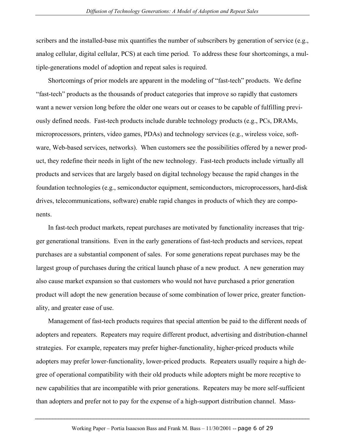scribers and the installed-base mix quantifies the number of subscribers by generation of service (e.g., analog cellular, digital cellular, PCS) at each time period. To address these four shortcomings, a multiple-generations model of adoption and repeat sales is required.

Shortcomings of prior models are apparent in the modeling of "fast-tech" products. We define "fast-tech" products as the thousands of product categories that improve so rapidly that customers want a newer version long before the older one wears out or ceases to be capable of fulfilling previously defined needs. Fast-tech products include durable technology products (e.g., PCs, DRAMs, microprocessors, printers, video games, PDAs) and technology services (e.g., wireless voice, software, Web-based services, networks). When customers see the possibilities offered by a newer product, they redefine their needs in light of the new technology. Fast-tech products include virtually all products and services that are largely based on digital technology because the rapid changes in the foundation technologies (e.g., semiconductor equipment, semiconductors, microprocessors, hard-disk drives, telecommunications, software) enable rapid changes in products of which they are components.

In fast-tech product markets, repeat purchases are motivated by functionality increases that trigger generational transitions. Even in the early generations of fast-tech products and services, repeat purchases are a substantial component of sales. For some generations repeat purchases may be the largest group of purchases during the critical launch phase of a new product. A new generation may also cause market expansion so that customers who would not have purchased a prior generation product will adopt the new generation because of some combination of lower price, greater functionality, and greater ease of use.

Management of fast-tech products requires that special attention be paid to the different needs of adopters and repeaters. Repeaters may require different product, advertising and distribution-channel strategies. For example, repeaters may prefer higher-functionality, higher-priced products while adopters may prefer lower-functionality, lower-priced products. Repeaters usually require a high degree of operational compatibility with their old products while adopters might be more receptive to new capabilities that are incompatible with prior generations. Repeaters may be more self-sufficient than adopters and prefer not to pay for the expense of a high-support distribution channel. Mass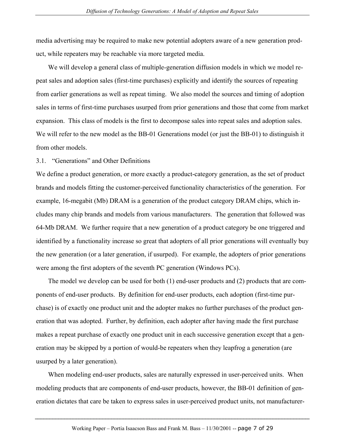media advertising may be required to make new potential adopters aware of a new generation product, while repeaters may be reachable via more targeted media.

We will develop a general class of multiple-generation diffusion models in which we model repeat sales and adoption sales (first-time purchases) explicitly and identify the sources of repeating from earlier generations as well as repeat timing. We also model the sources and timing of adoption sales in terms of first-time purchases usurped from prior generations and those that come from market expansion. This class of models is the first to decompose sales into repeat sales and adoption sales. We will refer to the new model as the BB-01 Generations model (or just the BB-01) to distinguish it from other models.

#### 3.1. "Generations" and Other Definitions

We define a product generation, or more exactly a product-category generation, as the set of product brands and models fitting the customer-perceived functionality characteristics of the generation. For example, 16-megabit (Mb) DRAM is a generation of the product category DRAM chips, which includes many chip brands and models from various manufacturers. The generation that followed was 64-Mb DRAM. We further require that a new generation of a product category be one triggered and identified by a functionality increase so great that adopters of all prior generations will eventually buy the new generation (or a later generation, if usurped). For example, the adopters of prior generations were among the first adopters of the seventh PC generation (Windows PCs).

The model we develop can be used for both (1) end-user products and (2) products that are components of end-user products. By definition for end-user products, each adoption (first-time purchase) is of exactly one product unit and the adopter makes no further purchases of the product generation that was adopted. Further, by definition, each adopter after having made the first purchase makes a repeat purchase of exactly one product unit in each successive generation except that a generation may be skipped by a portion of would-be repeaters when they leapfrog a generation (are usurped by a later generation).

When modeling end-user products, sales are naturally expressed in user-perceived units. When modeling products that are components of end-user products, however, the BB-01 definition of generation dictates that care be taken to express sales in user-perceived product units, not manufacturer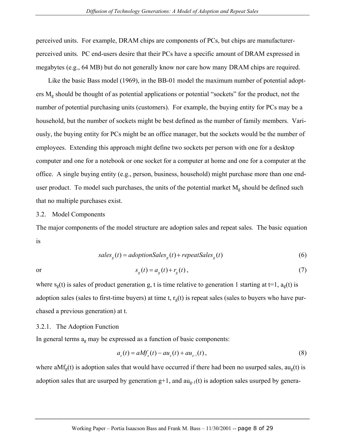perceived units. For example, DRAM chips are components of PCs, but chips are manufacturerperceived units. PC end-users desire that their PCs have a specific amount of DRAM expressed in megabytes (e.g., 64 MB) but do not generally know nor care how many DRAM chips are required.

Like the basic Bass model (1969), in the BB-01 model the maximum number of potential adopters  $M<sub>g</sub>$  should be thought of as potential applications or potential "sockets" for the product, not the number of potential purchasing units (customers). For example, the buying entity for PCs may be a household, but the number of sockets might be best defined as the number of family members. Variously, the buying entity for PCs might be an office manager, but the sockets would be the number of employees. Extending this approach might define two sockets per person with one for a desktop computer and one for a notebook or one socket for a computer at home and one for a computer at the office. A single buying entity (e.g., person, business, household) might purchase more than one enduser product. To model such purchases, the units of the potential market  $M_g$  should be defined such that no multiple purchases exist.

#### 3.2. Model Components

The major components of the model structure are adoption sales and repeat sales. The basic equation is

$$
salesg(t) = adoption Salesg(t) + repeat Salesg(t)
$$
\n(6)

$$
s_g(t) = a_g(t) + r_g(t),
$$
\n(7)

where  $s_g(t)$  is sales of product generation g, t is time relative to generation 1 starting at t=1,  $a_g(t)$  is adoption sales (sales to first-time buyers) at time t,  $r<sub>g</sub>(t)$  is repeat sales (sales to buyers who have purchased a previous generation) at t.

#### 3.2.1. The Adoption Function

In general terms ag may be expressed as a function of basic components:

$$
a_{g}(t) = aMf_{g}(t) - au_{g}(t) + au_{g-1}(t),
$$
\n(8)

where a $Mf_g(t)$  is adoption sales that would have occurred if there had been no usurped sales, au<sub>g</sub>(t) is adoption sales that are usurped by generation  $g+1$ , and  $au_{g-1}(t)$  is adoption sales usurped by genera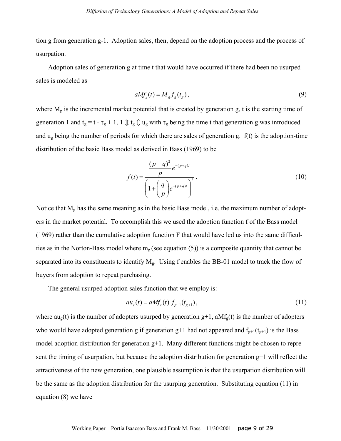tion g from generation g-1. Adoption sales, then, depend on the adoption process and the process of usurpation.

Adoption sales of generation g at time t that would have occurred if there had been no usurped sales is modeled as

$$
aMf_s(t) = M_g f_g(t_g),
$$
\n(9)

where  $M<sub>g</sub>$  is the incremental market potential that is created by generation g, t is the starting time of generation 1 and  $t_g = t - \tau_g + 1$ ,  $1 \oplus t_g \oplus u_g$  with  $\tau_g$  being the time t that generation g was introduced and  $u_{g}$  being the number of periods for which there are sales of generation g.  $f(t)$  is the adoption-time distribution of the basic Bass model as derived in Bass (1969) to be

$$
f(t) = \frac{\frac{(p+q)^2}{p} e^{-(p+q)t}}{\left(1 + \left(\frac{q}{p}\right) e^{-(p+q)t}\right)^2}.
$$
 (10)

Notice that  $M<sub>g</sub>$  has the same meaning as in the basic Bass model, i.e. the maximum number of adopters in the market potential. To accomplish this we used the adoption function f of the Bass model (1969) rather than the cumulative adoption function F that would have led us into the same difficulties as in the Norton-Bass model where  $m_g$  (see equation (5)) is a composite quantity that cannot be separated into its constituents to identify  $M<sub>g</sub>$ . Using f enables the BB-01 model to track the flow of buyers from adoption to repeat purchasing.

The general usurped adoption sales function that we employ is:

$$
au_{g}(t) = aMf_{g}(t) f_{g+1}(t_{g+1}),
$$
\n(11)

where  $au_g(t)$  is the number of adopters usurped by generation  $g+1$ ,  $aMf_g(t)$  is the number of adopters who would have adopted generation g if generation g+1 had not appeared and  $f_{g+1}(t_{g+1})$  is the Bass model adoption distribution for generation g+1. Many different functions might be chosen to represent the timing of usurpation, but because the adoption distribution for generation  $g+1$  will reflect the attractiveness of the new generation, one plausible assumption is that the usurpation distribution will be the same as the adoption distribution for the usurping generation. Substituting equation (11) in equation (8) we have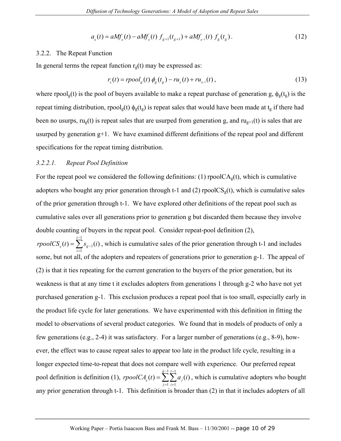$$
a_{g}(t) = aMf_{g}(t) - aMf_{g}(t) f_{g+1}(t_{g+1}) + aMf_{g-1}(t) f_{g}(t_{g}).
$$
\n(12)

#### 3.2.2. The Repeat Function

In general terms the repeat function  $r_g(t)$  may be expressed as:

$$
r_s(t) = rpool_g(t) \phi_g(t_g) - ru_g(t) + ru_{g-1}(t),
$$
\n(13)

where rpool<sub>g</sub>(t) is the pool of buyers available to make a repeat purchase of generation g,  $\phi_g(t_g)$  is the repeat timing distribution, rpool<sub>g</sub>(t)  $\phi_g(t_g)$  is repeat sales that would have been made at  $t_g$  if there had been no usurps,  $ru_g(t)$  is repeat sales that are usurped from generation g, and  $ru_{g+1}(t)$  is sales that are usurped by generation g+1. We have examined different definitions of the repeat pool and different specifications for the repeat timing distribution.

#### *3.2.2.1. Repeat Pool Definition*

For the repeat pool we considered the following definitions: (1) rpool $CA<sub>g</sub>(t)$ , which is cumulative adopters who bought any prior generation through t-1 and (2) rpool $CS_{g}(t)$ , which is cumulative sales of the prior generation through t-1. We have explored other definitions of the repeat pool such as cumulative sales over all generations prior to generation g but discarded them because they involve double counting of buyers in the repeat pool. Consider repeat-pool definition (2),

1 1 1  $s_{g}(t) = \sum s_{g-1}(i)$ *t g i*  $$ − −  $=\sum_{i=1} S_{g-1}(i)$ , which is cumulative sales of the prior generation through t-1 and includes some, but not all, of the adopters and repeaters of generations prior to generation g-1. The appeal of (2) is that it ties repeating for the current generation to the buyers of the prior generation, but its weakness is that at any time t it excludes adopters from generations 1 through g-2 who have not yet purchased generation g-1. This exclusion produces a repeat pool that is too small, especially early in the product life cycle for later generations. We have experimented with this definition in fitting the model to observations of several product categories. We found that in models of products of only a few generations (e.g., 2-4) it was satisfactory. For a larger number of generations (e.g., 8-9), however, the effect was to cause repeat sales to appear too late in the product life cycle, resulting in a longer expected time-to-repeat that does not compare well with experience. Our preferred repeat pool definition is definition (1),  $1 t-1$  $1 \; i = 1$  $g_{g}(t) = \sum \sum a_{i}(t)$ *g t j j i*  $\textit{rpoolCA}_{a}(t) = \sum_{i} a_{i}(t)$  $-1$  t –  $=\sum_{j=1}^{\infty}\sum_{i=1}^{\infty}a_j(i)$ , which is cumulative adopters who bought any prior generation through t-1. This definition is broader than (2) in that it includes adopters of all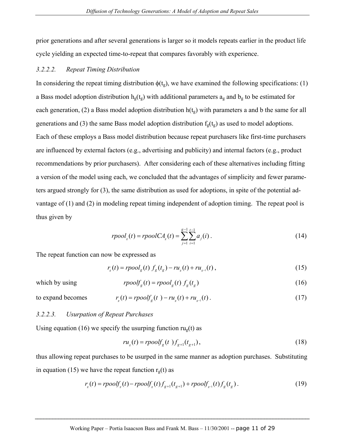prior generations and after several generations is larger so it models repeats earlier in the product life cycle yielding an expected time-to-repeat that compares favorably with experience.

#### *3.2.2.2. Repeat Timing Distribution*

In considering the repeat timing distribution  $\phi(t_g)$ , we have examined the following specifications: (1) a Bass model adoption distribution  $h_g(t_g)$  with additional parameters  $a_g$  and  $b_g$  to be estimated for each generation, (2) a Bass model adoption distribution  $h(t_g)$  with parameters a and b the same for all generations and (3) the same Bass model adoption distribution  $f_g(t_g)$  as used to model adoptions. Each of these employs a Bass model distribution because repeat purchasers like first-time purchasers are influenced by external factors (e.g., advertising and publicity) and internal factors (e.g., product recommendations by prior purchasers). After considering each of these alternatives including fitting a version of the model using each, we concluded that the advantages of simplicity and fewer parameters argued strongly for (3), the same distribution as used for adoptions, in spite of the potential advantage of (1) and (2) in modeling repeat timing independent of adoption timing. The repeat pool is thus given by

$$
rpoolg(t) = rpoolCAg(t) = \sum_{j=1}^{g-1} \sum_{i=1}^{t-1} a_j(i).
$$
 (14)

The repeat function can now be expressed as

$$
r_s(t) = rpool_g(t) f_g(t_g) - ru_g(t) + ru_{g-1}(t),
$$
\n(15)

which by using

$$
rpoolfg(t) = rpoolg(t) fg(tg)
$$
\n(16)

to expand becomes 
$$
r_s(t) = \text{rpool}f_s(t) - r u_s(t) + r u_{s-1}(t).
$$
 (17)

#### *3.2.2.3. Usurpation of Repeat Purchases*

Using equation (16) we specify the usurping function  $ru_{\varrho}(t)$  as

$$
ru_{g}(t) = rpoolf_{g}(t) f_{g+1}(t_{g+1}),
$$
\n(18)

thus allowing repeat purchases to be usurped in the same manner as adoption purchases. Substituting in equation (15) we have the repeat function  $r<sub>g</sub>(t)$  as

$$
r_s(t) = \text{rpoolf}_s(t) - \text{rpoolf}_s(t) f_{g+1}(t_{g+1}) + \text{rpoolf}_{s-1}(t) f_g(t_g). \tag{19}
$$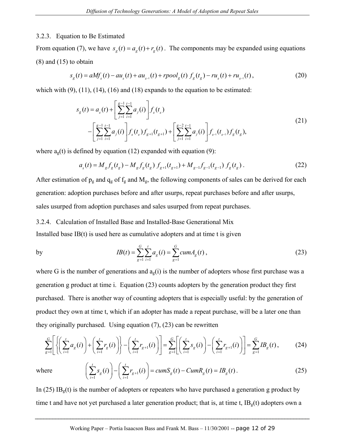#### 3.2.3. Equation to Be Estimated

From equation (7), we have  $s_g(t) = a_g(t) + r_g(t)$ . The components may be expanded using equations (8) and (15) to obtain

$$
s_g(t) = aMf_s(t) - au_s(t) + au_{s-1}(t) + rpool_g(t) f_g(t_s) - ru_s(t) + ru_{s-1}(t),
$$
\n(20)

which with  $(9)$ ,  $(11)$ ,  $(14)$ ,  $(16)$  and  $(18)$  expands to the equation to be estimated:

$$
s_g(t) = a_g(t) + \left[\sum_{j=1}^{g-1} \sum_{i=1}^{t-1} a_j(i)\right] f_g(t_g)
$$
  
 
$$
- \left[\sum_{j=1}^{g-1} \sum_{i=1}^{t-1} a_j(i)\right] f_g(t_g) f_{g+1}(t_{g+1}) + \left[\sum_{j=1}^{g-2} \sum_{i=1}^{t-1} a_j(i)\right] f_{g-1}(t_{g-1}) f_g(t_g),
$$
\n(21)

where  $a<sub>e</sub>(t)$  is defined by equation (12) expanded with equation (9):

$$
a_{g}(t) = M_{g} f_{g}(t_{g}) - M_{g} f_{g}(t_{g}) f_{g+1}(t_{g+1}) + M_{g-1} f_{g-1}(t_{g-1}) f_{g}(t_{g}). \qquad (22)
$$

After estimation of  $p_g$  and  $q_g$  of  $f_g$  and  $M_g$ , the following components of sales can be derived for each generation: adoption purchases before and after usurps, repeat purchases before and after usurps, sales usurped from adoption purchases and sales usurped from repeat purchases.

#### 3.2.4. Calculation of Installed Base and Installed-Base Generational Mix

Installed base  $IB(t)$  is used here as cumulative adopters and at time  $t$  is given

by 
$$
IB(t) = \sum_{g=1}^{G} \sum_{i=1}^{t} a_g(i) = \sum_{g=1}^{G} cum A_g(t),
$$
 (23)

where G is the number of generations and  $a<sub>g</sub>(i)$  is the number of adopters whose first purchase was a generation g product at time i. Equation (23) counts adopters by the generation product they first purchased. There is another way of counting adopters that is especially useful: by the generation of product they own at time t, which if an adopter has made a repeat purchase, will be a later one than they originally purchased. Using equation (7), (23) can be rewritten

$$
\sum_{g=1}^{G} \left[ \left\{ \left( \sum_{i=1}^{t} a_g(i) \right) + \left( \sum_{i=1}^{t} r_g(i) \right) \right\} - \left( \sum_{i=1}^{t} r_{g+1}(i) \right) \right] = \sum_{g=1}^{G} \left[ \left( \sum_{i=1}^{t} s_g(i) \right) - \left( \sum_{i=1}^{t} r_{g+1}(i) \right) \right] = \sum_{g=1}^{G} I B_g(t) ,\tag{24}
$$

where

$$
\left(\sum_{i=1}^{t} s_g(i)\right) - \left(\sum_{i=1}^{t} r_{g+1}(i)\right) = cum S_g(t) - Cum R_g(t) = IB_g(t).
$$
\n(25)

In (25) IB<sub>g</sub>(t) is the number of adopters or repeaters who have purchased a generation g product by time t and have not yet purchased a later generation product; that is, at time t,  $IB_e(t)$  adopters own a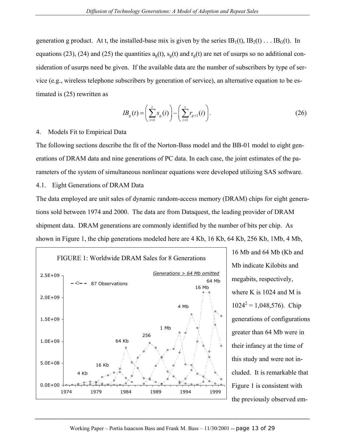generation g product. At t, the installed-base mix is given by the series  $IB_1(t)$ ,  $IB_2(t)$ ...  $IB_G(t)$ . In equations (23), (24) and (25) the quantities  $a<sub>g</sub>(t)$ ,  $s<sub>g</sub>(t)$  and  $r<sub>g</sub>(t)$  are net of usurps so no additional consideration of usurps need be given. If the available data are the number of subscribers by type of service (e.g., wireless telephone subscribers by generation of service), an alternative equation to be estimated is (25) rewritten as

$$
IB_g(t) = \left(\sum_{i=1}^t s_g(i)\right) - \left(\sum_{i=1}^t r_{g+1}(i)\right). \tag{26}
$$

## 4. Models Fit to Empirical Data

The following sections describe the fit of the Norton-Bass model and the BB-01 model to eight generations of DRAM data and nine generations of PC data. In each case, the joint estimates of the parameters of the system of simultaneous nonlinear equations were developed utilizing SAS software. 4.1. Eight Generations of DRAM Data

The data employed are unit sales of dynamic random-access memory (DRAM) chips for eight generations sold between 1974 and 2000. The data are from Dataquest, the leading provider of DRAM shipment data. DRAM generations are commonly identified by the number of bits per chip. As shown in Figure 1, the chip generations modeled here are 4 Kb, 16 Kb, 64 Kb, 256 Kb, 1Mb, 4 Mb,



16 Mb and 64 Mb (Kb and Mb indicate Kilobits and megabits, respectively, where K is  $1024$  and M is  $1024^2 = 1,048,576$ . Chip generations of configurations greater than 64 Mb were in their infancy at the time of this study and were not included. It is remarkable that Figure 1 is consistent with the previously observed em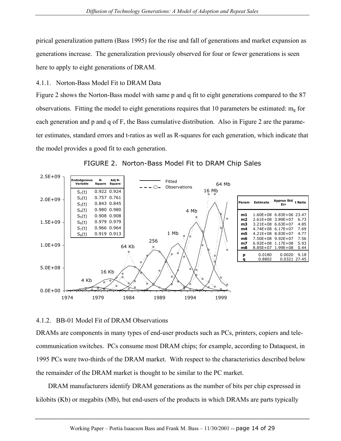pirical generalization pattern (Bass 1995) for the rise and fall of generations and market expansion as generations increase. The generalization previously observed for four or fewer generations is seen here to apply to eight generations of DRAM.

# 4.1.1. Norton-Bass Model Fit to DRAM Data

Figure 2 shows the Norton-Bass model with same p and q fit to eight generations compared to the 87 observations. Fitting the model to eight generations requires that 10 parameters be estimated:  $m_g$  for each generation and p and q of F, the Bass cumulative distribution. Also in Figure 2 are the parameter estimates, standard errors and t-ratios as well as R-squares for each generation, which indicate that the model provides a good fit to each generation.



FIGURE 2. Norton-Bass Model Fit to DRAM Chip Sales

# 4.1.2. BB-01 Model Fit of DRAM Observations

DRAMs are components in many types of end-user products such as PCs, printers, copiers and telecommunication switches. PCs consume most DRAM chips; for example, according to Dataquest, in 1995 PCs were two-thirds of the DRAM market. With respect to the characteristics described below the remainder of the DRAM market is thought to be similar to the PC market.

DRAM manufacturers identify DRAM generations as the number of bits per chip expressed in kilobits (Kb) or megabits (Mb), but end-users of the products in which DRAMs are parts typically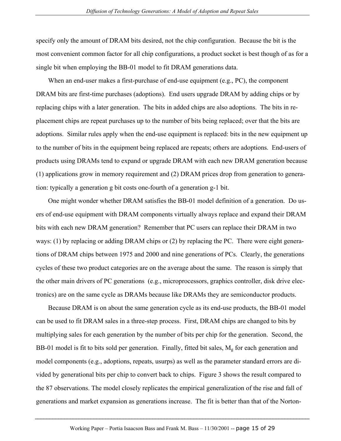specify only the amount of DRAM bits desired, not the chip configuration. Because the bit is the most convenient common factor for all chip configurations, a product socket is best though of as for a single bit when employing the BB-01 model to fit DRAM generations data.

When an end-user makes a first-purchase of end-use equipment (e.g., PC), the component DRAM bits are first-time purchases (adoptions). End users upgrade DRAM by adding chips or by replacing chips with a later generation. The bits in added chips are also adoptions. The bits in replacement chips are repeat purchases up to the number of bits being replaced; over that the bits are adoptions. Similar rules apply when the end-use equipment is replaced: bits in the new equipment up to the number of bits in the equipment being replaced are repeats; others are adoptions. End-users of products using DRAMs tend to expand or upgrade DRAM with each new DRAM generation because (1) applications grow in memory requirement and (2) DRAM prices drop from generation to generation: typically a generation g bit costs one-fourth of a generation g-1 bit.

One might wonder whether DRAM satisfies the BB-01 model definition of a generation. Do users of end-use equipment with DRAM components virtually always replace and expand their DRAM bits with each new DRAM generation? Remember that PC users can replace their DRAM in two ways: (1) by replacing or adding DRAM chips or (2) by replacing the PC. There were eight generations of DRAM chips between 1975 and 2000 and nine generations of PCs. Clearly, the generations cycles of these two product categories are on the average about the same. The reason is simply that the other main drivers of PC generations (e.g., microprocessors, graphics controller, disk drive electronics) are on the same cycle as DRAMs because like DRAMs they are semiconductor products.

Because DRAM is on about the same generation cycle as its end-use products, the BB-01 model can be used to fit DRAM sales in a three-step process. First, DRAM chips are changed to bits by multiplying sales for each generation by the number of bits per chip for the generation. Second, the BB-01 model is fit to bits sold per generation. Finally, fitted bit sales,  $M<sub>g</sub>$  for each generation and model components (e.g., adoptions, repeats, usurps) as well as the parameter standard errors are divided by generational bits per chip to convert back to chips. Figure 3 shows the result compared to the 87 observations. The model closely replicates the empirical generalization of the rise and fall of generations and market expansion as generations increase. The fit is better than that of the Norton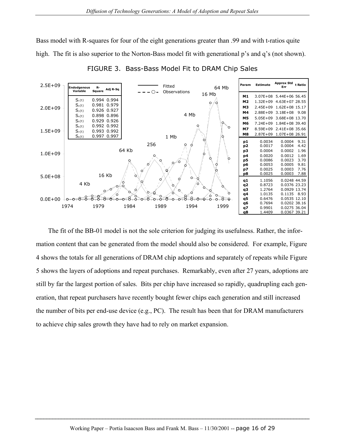Bass model with R-squares for four of the eight generations greater than .99 and with t-ratios quite high. The fit is also superior to the Norton-Bass model fit with generational p's and q's (not shown).



FIGURE 3. Bass-Bass Model Fit to DRAM Chip Sales

The fit of the BB-01 model is not the sole criterion for judging its usefulness. Rather, the information content that can be generated from the model should also be considered. For example, Figure 4 shows the totals for all generations of DRAM chip adoptions and separately of repeats while Figure 5 shows the layers of adoptions and repeat purchases. Remarkably, even after 27 years, adoptions are still by far the largest portion of sales. Bits per chip have increased so rapidly, quadrupling each generation, that repeat purchasers have recently bought fewer chips each generation and still increased the number of bits per end-use device (e.g., PC). The result has been that for DRAM manufacturers to achieve chip sales growth they have had to rely on market expansion.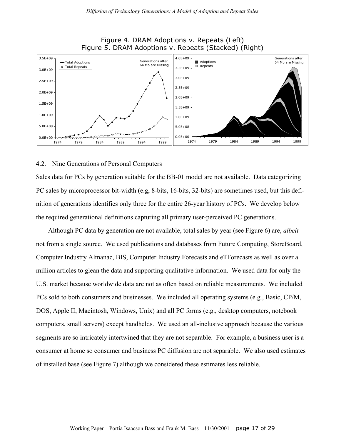

### Figure 4. DRAM Adoptions v. Repeats (Left) Figure 5. DRAM Adoptions v. Repeats (Stacked) (Right)

#### 4.2. Nine Generations of Personal Computers

Sales data for PCs by generation suitable for the BB-01 model are not available. Data categorizing PC sales by microprocessor bit-width (e.g, 8-bits, 16-bits, 32-bits) are sometimes used, but this definition of generations identifies only three for the entire 26-year history of PCs. We develop below the required generational definitions capturing all primary user-perceived PC generations.

Although PC data by generation are not available, total sales by year (see Figure 6) are, *albeit* not from a single source. We used publications and databases from Future Computing, StoreBoard, Computer Industry Almanac, BIS, Computer Industry Forecasts and eTForecasts as well as over a million articles to glean the data and supporting qualitative information. We used data for only the U.S. market because worldwide data are not as often based on reliable measurements. We included PCs sold to both consumers and businesses. We included all operating systems (e.g., Basic, CP/M, DOS, Apple II, Macintosh, Windows, Unix) and all PC forms (e.g., desktop computers, notebook computers, small servers) except handhelds. We used an all-inclusive approach because the various segments are so intricately intertwined that they are not separable. For example, a business user is a consumer at home so consumer and business PC diffusion are not separable. We also used estimates of installed base (see Figure 7) although we considered these estimates less reliable.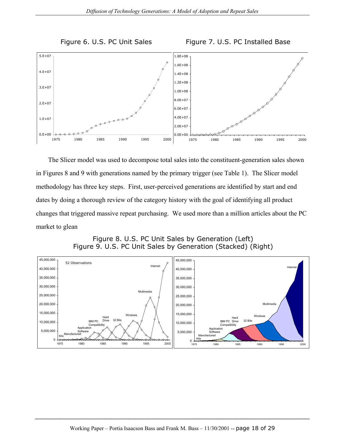





The Slicer model was used to decompose total sales into the constituent-generation sales shown in Figures 8 and 9 with generations named by the primary trigger (see Table 1). The Slicer model methodology has three key steps. First, user-perceived generations are identified by start and end dates by doing a thorough review of the category history with the goal of identifying all product changes that triggered massive repeat purchasing. We used more than a million articles about the PC market to glean

Figure 8. U.S. PC Unit Sales by Generation (Left) Figure 9. U.S. PC Unit Sales by Generation (Stacked) (Right)

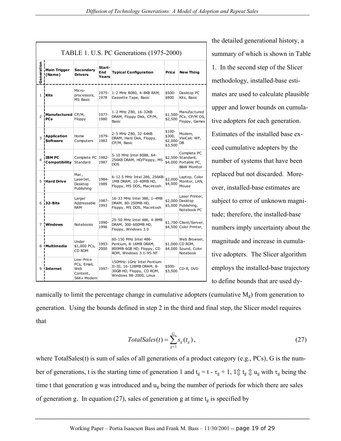| TABLE 1. U.S. PC Generations (1975-2000) |                                       |                                                           |                        |                                                                                                              |                                        |                                                                                    |
|------------------------------------------|---------------------------------------|-----------------------------------------------------------|------------------------|--------------------------------------------------------------------------------------------------------------|----------------------------------------|------------------------------------------------------------------------------------|
| Generation                               | <b>Main Trigger</b><br>(Name)         | <b>Secondary</b><br><b>Drivers</b>                        | Start-<br>End<br>Years | <b>Typical Configuration</b>                                                                                 | Price                                  | <b>New Thing</b>                                                                   |
| 1                                        | <b>Kits</b>                           | Micro-<br>processors,<br><b>MS Basic</b>                  | 1975-<br>1978          | 1-2 MHz 8080, 4-8KB RAM,<br>Cassette Tape, Basic                                                             | \$500-<br>\$800                        | Desktop PC<br>Kits, Basic                                                          |
| $\overline{2}$                           | Manufactured CP/M,<br><b>PCs</b>      | Floppy                                                    | 1977-<br>1980          | 1-2 MHz Z80, 16-32KB<br>DRAM, Floppy Disk, CP/M,<br>Basic                                                    | \$1,500-<br>\$2,500                    | Manufactured<br>PCs, CP/M OS,<br>Floppy, Games                                     |
| 3                                        | <b>Application</b><br><b>Software</b> | Home<br>Computers                                         | 1979-<br>1983          | 2-5 MHz Z80, 32-64KB<br>DRAM, Hard Disk, Floppy,<br>CP/M, Basic                                              | \$100-<br>\$300,<br>\$2,000<br>\$3,500 | Modem,<br>VisiCalc WP,<br>DB                                                       |
| 4                                        | <b>IBM PC</b><br>Compatibility        | Complete PC 1982-<br>Standard                             | 1987                   | 5-10 MHz Intel 8088, 64-<br>256KB DRAM, HD/Floppy, MS<br><b>DOS</b>                                          |                                        | Complete PC<br>\$2,500-Standard,<br>\$4,000 Portable PC,<br><b>B&amp;W Monitor</b> |
|                                          | 5 Hard Drive                          | Mac,<br>LaserJet,<br>Desktop<br>Publishing                | 1984-<br>1989          | 6-12.5 MHz Intel 286, 256KB-<br>1MB DRAM, 10-40MB HD,<br>Floppy, MS DOS, Macintosh                           | \$2,000<br>\$4,000                     | Laptop, Color<br>Monitor, LAN,<br>Mouse                                            |
|                                          | 6 32-Bits                             | Larger<br>Addressable<br>RAM                              | 1987-<br>1993          | 16-33 MHz Intel 386, 1-4MB<br>DRAM, 80-250MB HD,<br>Floppy, MS DOS, Macintosh                                |                                        | Laser Printer,<br>\$2,000-Desktop<br>\$5,000 Publishing,<br>Notebook PC            |
| $\overline{7}$                           | <b>Windows</b>                        | Notebooks                                                 | 1990-<br>1996          | 25-50 MHz Intel 486, 4-8MB<br>DRAM, 300-600MB HD,<br>Floppy, Windows 3.0                                     |                                        | \$1,700-Client/Server,<br>\$4,500 Color Printer,                                   |
|                                          | 8 Multimedia                          | Under<br>\$1,000 PCs,<br>CD ROM                           | 1993-<br>2000          | 60-150 MHz Intel 486-<br>Pentium, 8-16MB DRAM,<br>800MB-6GB HD, Floppy, CD<br>ROM, Windows 3.1-95-NT         |                                        | Web Browser,<br>\$1,000-CD ROM,<br>\$4,000 Sound, Color<br>Notebook                |
|                                          | 9 Internet                            | Low-Price<br>PCs, Email,<br>Web<br>Content,<br>56K+ Modem | 1997-                  | 150MHz-1GHz Intel Pentium<br>II-III, 16-128MB DRAM, 8-<br>30GB HD, Floppy, CD ROM,<br>Windows 98-2000, Linux | \$500-<br>\$3,500                      | CD-R, DVD                                                                          |

the detailed generational history, a summary of which is shown in Table 1. In the second step of the Slicer methodology, installed-base estimates are used to calculate plausible upper and lower bounds on cumulative adopters for each generation. Estimates of the installed base exceed cumulative adopters by the number of systems that have been replaced but not discarded. Moreover, installed-base estimates are subject to error of unknown magnitude; therefore, the installed-base numbers imply uncertainty about the magnitude and increase in cumulative adopters. The Slicer algorithm employs the installed-base trajectory to define bounds that are used dy-

namically to limit the percentage change in cumulative adopters (cumulative  $M<sub>g</sub>$ ) from generation to generation. Using the bounds defined in step 2 in the third and final step, the Slicer model requires that

$$
TotalSales(t) = \sum_{g=1}^{G} s_g(t_g),
$$
\n(27)

where TotalSales(t) is sum of sales of all generations of a product category (e.g., PCs), G is the number of generations, t is the starting time of generation 1 and  $t_g = t - \tau_g + 1$ ,  $1 \oplus t_g \oplus u_g$  with  $\tau_g$  being the time t that generation g was introduced and  $u<sub>g</sub>$  being the number of periods for which there are sales of generation g. In equation (27), sales of generation g at time  $t<sub>g</sub>$  is specified by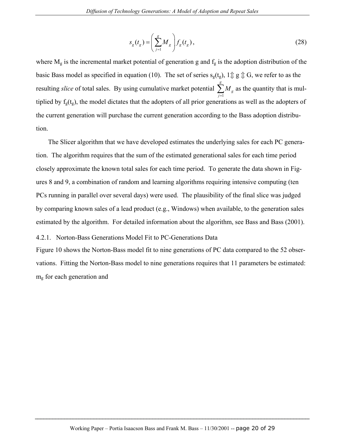$$
s_g(t_g) = \left(\sum_{j=1}^g M_g\right) f_g(t_g),\tag{28}
$$

where  $M_g$  is the incremental market potential of generation g and  $f_g$  is the adoption distribution of the basic Bass model as specified in equation (10). The set of series  $s_g(t_g)$ ,  $1 \oplus g \oplus G$ , we refer to as the resulting *slice* of total sales. By using cumulative market potential 1 *g g j M*  $\sum_{j=1}^{8} M_{g}$  as the quantity that is multiplied by  $f_g(t_g)$ , the model dictates that the adopters of all prior generations as well as the adopters of the current generation will purchase the current generation according to the Bass adoption distribution.

The Slicer algorithm that we have developed estimates the underlying sales for each PC generation. The algorithm requires that the sum of the estimated generational sales for each time period closely approximate the known total sales for each time period. To generate the data shown in Figures 8 and 9, a combination of random and learning algorithms requiring intensive computing (ten PCs running in parallel over several days) were used. The plausibility of the final slice was judged by comparing known sales of a lead product (e.g., Windows) when available, to the generation sales estimated by the algorithm. For detailed information about the algorithm, see Bass and Bass (2001).

#### 4.2.1. Norton-Bass Generations Model Fit to PC-Generations Data

Figure 10 shows the Norton-Bass model fit to nine generations of PC data compared to the 52 observations. Fitting the Norton-Bass model to nine generations requires that 11 parameters be estimated: mg for each generation and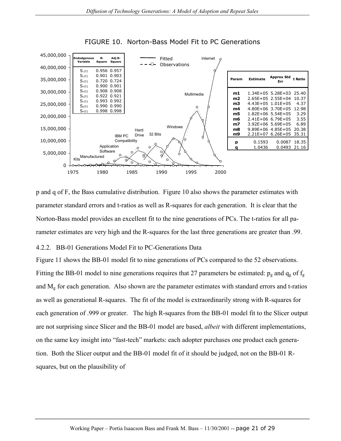

#### FIGURE 10. Norton-Bass Model Fit to PC Generations

p and q of F, the Bass cumulative distribution. Figure 10 also shows the parameter estimates with parameter standard errors and t-ratios as well as R-squares for each generation. It is clear that the Norton-Bass model provides an excellent fit to the nine generations of PCs. The t-ratios for all parameter estimates are very high and the R-squares for the last three generations are greater than .99.

#### 4.2.2. BB-01 Generations Model Fit to PC-Generations Data

Figure 11 shows the BB-01 model fit to nine generations of PCs compared to the 52 observations. Fitting the BB-01 model to nine generations requires that 27 parameters be estimated:  $p_g$  and  $q_g$  of  $f_g$ and Mg for each generation. Also shown are the parameter estimates with standard errors and t-ratios as well as generational R-squares. The fit of the model is extraordinarily strong with R-squares for each generation of .999 or greater. The high R-squares from the BB-01 model fit to the Slicer output are not surprising since Slicer and the BB-01 model are based, *albeit* with different implementations, on the same key insight into "fast-tech" markets: each adopter purchases one product each generation. Both the Slicer output and the BB-01 model fit of it should be judged, not on the BB-01 Rsquares, but on the plausibility of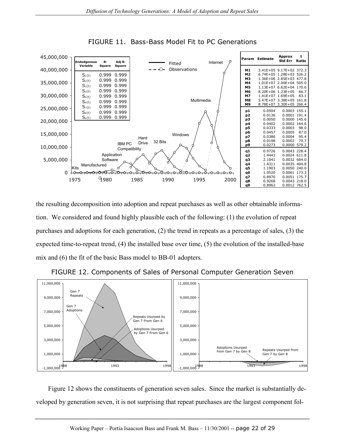

FIGURE 11. Bass-Bass Model Fit to PC Generations

the resulting decomposition into adoption and repeat purchases as well as other obtainable information. We considered and found highly plausible each of the following: (1) the evolution of repeat purchases and adoptions for each generation, (2) the trend in repeats as a percentage of sales, (3) the expected time-to-repeat trend, (4) the installed base over time, (5) the evolution of the installed-base mix and (6) the fit of the basic Bass model to BB-01 adopters.



FIGURE 12. Components of Sales of Personal Computer Generation Seven

Figure 12 shows the constituents of generation seven sales. Since the market is substantially developed by generation seven, it is not surprising that repeat purchases are the largest component fol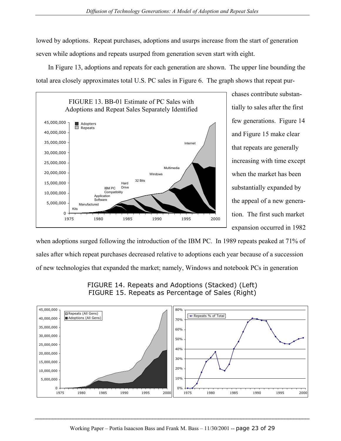lowed by adoptions. Repeat purchases, adoptions and usurps increase from the start of generation seven while adoptions and repeats usurped from generation seven start with eight.

In Figure 13, adoptions and repeats for each generation are shown. The upper line bounding the total area closely approximates total U.S. PC sales in Figure 6. The graph shows that repeat pur-



chases contribute substantially to sales after the first few generations. Figure 14 and Figure 15 make clear that repeats are generally increasing with time except when the market has been substantially expanded by the appeal of a new generation. The first such market expansion occurred in 1982

when adoptions surged following the introduction of the IBM PC. In 1989 repeats peaked at 71% of sales after which repeat purchases decreased relative to adoptions each year because of a succession of new technologies that expanded the market; namely, Windows and notebook PCs in generation



FIGURE 14. Repeats and Adoptions (Stacked) (Left) FIGURE 15. Repeats as Percentage of Sales (Right)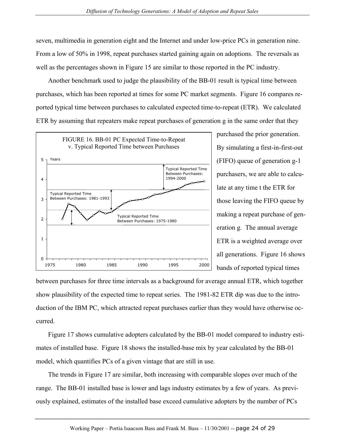seven, multimedia in generation eight and the Internet and under low-price PCs in generation nine. From a low of 50% in 1998, repeat purchases started gaining again on adoptions. The reversals as well as the percentages shown in Figure 15 are similar to those reported in the PC industry.

Another benchmark used to judge the plausibility of the BB-01 result is typical time between purchases, which has been reported at times for some PC market segments. Figure 16 compares reported typical time between purchases to calculated expected time-to-repeat (ETR). We calculated ETR by assuming that repeaters make repeat purchases of generation g in the same order that they



purchased the prior generation. By simulating a first-in-first-out (FIFO) queue of generation g-1 purchasers, we are able to calculate at any time t the ETR for those leaving the FIFO queue by making a repeat purchase of generation g. The annual average ETR is a weighted average over all generations. Figure 16 shows bands of reported typical times

between purchases for three time intervals as a background for average annual ETR, which together show plausibility of the expected time to repeat series. The 1981-82 ETR dip was due to the introduction of the IBM PC, which attracted repeat purchases earlier than they would have otherwise occurred.

Figure 17 shows cumulative adopters calculated by the BB-01 model compared to industry estimates of installed base. Figure 18 shows the installed-base mix by year calculated by the BB-01 model, which quantifies PCs of a given vintage that are still in use.

The trends in Figure 17 are similar, both increasing with comparable slopes over much of the range. The BB-01 installed base is lower and lags industry estimates by a few of years. As previously explained, estimates of the installed base exceed cumulative adopters by the number of PCs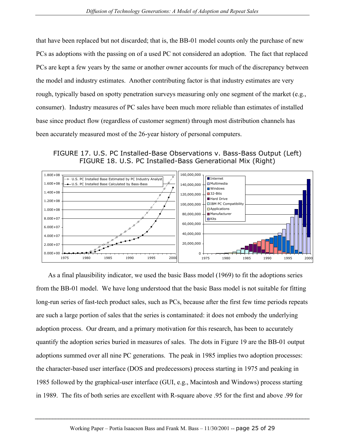that have been replaced but not discarded; that is, the BB-01 model counts only the purchase of new PCs as adoptions with the passing on of a used PC not considered an adoption. The fact that replaced PCs are kept a few years by the same or another owner accounts for much of the discrepancy between the model and industry estimates. Another contributing factor is that industry estimates are very rough, typically based on spotty penetration surveys measuring only one segment of the market (e.g., consumer). Industry measures of PC sales have been much more reliable than estimates of installed base since product flow (regardless of customer segment) through most distribution channels has been accurately measured most of the 26-year history of personal computers.

FIGURE 17. U.S. PC Installed-Base Observations v. Bass-Bass Output (Left) FIGURE 18. U.S. PC Installed-Bass Generational Mix (Right)



As a final plausibility indicator, we used the basic Bass model (1969) to fit the adoptions series from the BB-01 model. We have long understood that the basic Bass model is not suitable for fitting long-run series of fast-tech product sales, such as PCs, because after the first few time periods repeats are such a large portion of sales that the series is contaminated: it does not embody the underlying adoption process. Our dream, and a primary motivation for this research, has been to accurately quantify the adoption series buried in measures of sales. The dots in Figure 19 are the BB-01 output adoptions summed over all nine PC generations. The peak in 1985 implies two adoption processes: the character-based user interface (DOS and predecessors) process starting in 1975 and peaking in 1985 followed by the graphical-user interface (GUI, e.g., Macintosh and Windows) process starting in 1989. The fits of both series are excellent with R-square above .95 for the first and above .99 for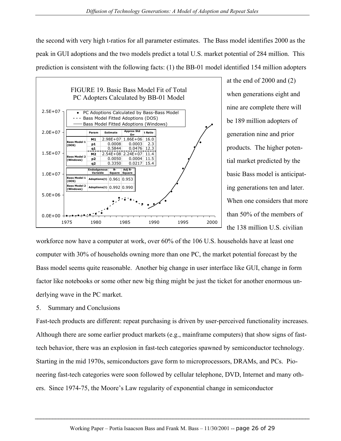the second with very high t-ratios for all parameter estimates. The Bass model identifies 2000 as the peak in GUI adoptions and the two models predict a total U.S. market potential of 284 million. This prediction is consistent with the following facts: (1) the BB-01 model identified 154 million adopters



at the end of 2000 and (2) when generations eight and nine are complete there will be 189 million adopters of generation nine and prior products. The higher potential market predicted by the basic Bass model is anticipating generations ten and later. When one considers that more than 50% of the members of the 138 million U.S. civilian

workforce now have a computer at work, over 60% of the 106 U.S. households have at least one computer with 30% of households owning more than one PC, the market potential forecast by the Bass model seems quite reasonable. Another big change in user interface like GUI, change in form factor like notebooks or some other new big thing might be just the ticket for another enormous underlying wave in the PC market.

5. Summary and Conclusions

Fast-tech products are different: repeat purchasing is driven by user-perceived functionality increases. Although there are some earlier product markets (e.g., mainframe computers) that show signs of fasttech behavior, there was an explosion in fast-tech categories spawned by semiconductor technology. Starting in the mid 1970s, semiconductors gave form to microprocessors, DRAMs, and PCs. Pioneering fast-tech categories were soon followed by cellular telephone, DVD, Internet and many others. Since 1974-75, the Moore's Law regularity of exponential change in semiconductor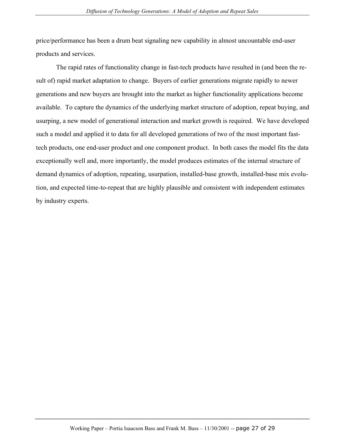price/performance has been a drum beat signaling new capability in almost uncountable end-user products and services.

 The rapid rates of functionality change in fast-tech products have resulted in (and been the result of) rapid market adaptation to change. Buyers of earlier generations migrate rapidly to newer generations and new buyers are brought into the market as higher functionality applications become available. To capture the dynamics of the underlying market structure of adoption, repeat buying, and usurping, a new model of generational interaction and market growth is required. We have developed such a model and applied it to data for all developed generations of two of the most important fasttech products, one end-user product and one component product. In both cases the model fits the data exceptionally well and, more importantly, the model produces estimates of the internal structure of demand dynamics of adoption, repeating, usurpation, installed-base growth, installed-base mix evolution, and expected time-to-repeat that are highly plausible and consistent with independent estimates by industry experts.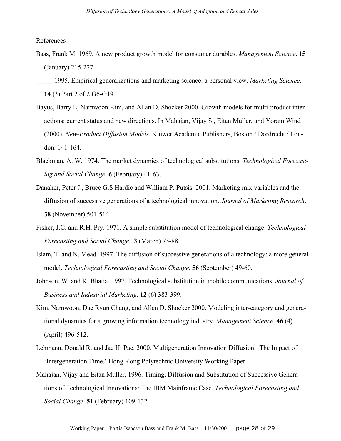References

Bass, Frank M. 1969. A new product growth model for consumer durables. *Management Science*. **15** (January) 215-227.

- Bayus, Barry L, Namwoon Kim, and Allan D. Shocker 2000. Growth models for multi-product interactions: current status and new directions. In Mahajan, Vijay S., Eitan Muller, and Yoram Wind (2000), *New-Product Diffusion Models*. Kluwer Academic Publishers, Boston / Dordrecht / London. 141-164.
- Blackman, A. W. 1974. The market dynamics of technological substitutions. *Technological Forecasting and Social Change*. **6** (February) 41-63.
- Danaher, Peter J., Bruce G.S Hardie and William P. Putsis. 2001. Marketing mix variables and the diffusion of successive generations of a technological innovation. *Journal of Marketing Research*. **38** (November) 501-514.
- Fisher, J.C. and R.H. Pry. 1971. A simple substitution model of technological change. *Technological Forecasting and Social Change*. **3** (March) 75-88.
- Islam, T. and N. Mead. 1997. The diffusion of successive generations of a technology: a more general model. *Technological Forecasting and Social Change*. **56** (September) 49-60.
- Johnson, W. and K. Bhatia. 1997. Technological substitution in mobile communications. *Journal of Business and Industrial Marketing*. **12** (6) 383-399.
- Kim, Namwoon, Dae Ryun Chang, and Allen D. Shocker 2000. Modeling inter-category and generational dynamics for a growing information technology industry. *Management Science*. **46** (4) (April) 496-512.
- Lehmann, Donald R. and Jae H. Pae. 2000. Multigeneration Innovation Diffusion: The Impact of 'Intergeneration Time.' Hong Kong Polytechnic University Working Paper.
- Mahajan, Vijay and Eitan Muller. 1996. Timing, Diffusion and Substitution of Successive Generations of Technological Innovations: The IBM Mainframe Case. *Technological Forecasting and Social Change*. **51** (February) 109-132.

\_\_\_\_\_ 1995. Empirical generalizations and marketing science: a personal view. *Marketing Science*. **14** (3) Part 2 of 2 G6-G19.